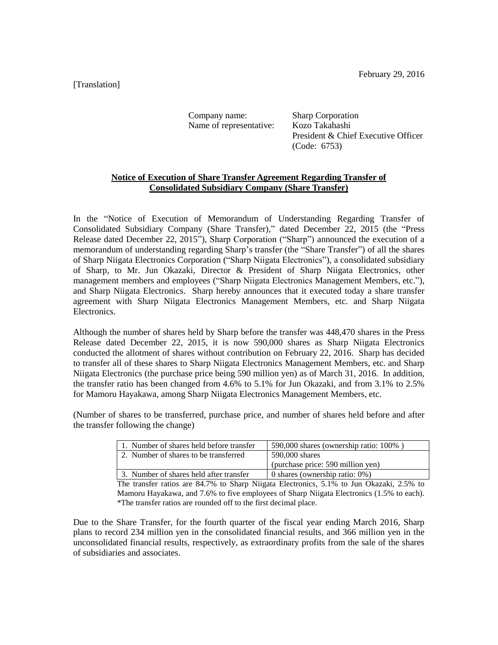[Translation]

Company name: Sharp Corporation Name of representative: Kozo Takahashi

President & Chief Executive Officer (Code: 6753)

## **Notice of Execution of Share Transfer Agreement Regarding Transfer of Consolidated Subsidiary Company (Share Transfer)**

In the "Notice of Execution of Memorandum of Understanding Regarding Transfer of Consolidated Subsidiary Company (Share Transfer)," dated December 22, 2015 (the "Press Release dated December 22, 2015"), Sharp Corporation ("Sharp") announced the execution of a memorandum of understanding regarding Sharp's transfer (the "Share Transfer") of all the shares of Sharp Niigata Electronics Corporation ("Sharp Niigata Electronics"), a consolidated subsidiary of Sharp, to Mr. Jun Okazaki, Director & President of Sharp Niigata Electronics, other management members and employees ("Sharp Niigata Electronics Management Members, etc."), and Sharp Niigata Electronics. Sharp hereby announces that it executed today a share transfer agreement with Sharp Niigata Electronics Management Members, etc. and Sharp Niigata Electronics.

Although the number of shares held by Sharp before the transfer was 448,470 shares in the Press Release dated December 22, 2015, it is now 590,000 shares as Sharp Niigata Electronics conducted the allotment of shares without contribution on February 22, 2016. Sharp has decided to transfer all of these shares to Sharp Niigata Electronics Management Members, etc. and Sharp Niigata Electronics (the purchase price being 590 million yen) as of March 31, 2016. In addition, the transfer ratio has been changed from 4.6% to 5.1% for Jun Okazaki, and from 3.1% to 2.5% for Mamoru Hayakawa, among Sharp Niigata Electronics Management Members, etc.

(Number of shares to be transferred, purchase price, and number of shares held before and after the transfer following the change)

| 1. Number of shares held before transfer | 590,000 shares (ownership ratio: $100\%$ ) |
|------------------------------------------|--------------------------------------------|
| 2. Number of shares to be transferred    | 590,000 shares                             |
|                                          | (purchase price: 590 million yen)          |
| 3. Number of shares held after transfer  | 0 shares (ownership ratio: $0\%$ )         |

The transfer ratios are 84.7% to Sharp Niigata Electronics, 5.1% to Jun Okazaki, 2.5% to Mamoru Hayakawa, and 7.6% to five employees of Sharp Niigata Electronics (1.5% to each). \*The transfer ratios are rounded off to the first decimal place.

Due to the Share Transfer, for the fourth quarter of the fiscal year ending March 2016, Sharp plans to record 234 million yen in the consolidated financial results, and 366 million yen in the unconsolidated financial results, respectively, as extraordinary profits from the sale of the shares of subsidiaries and associates.